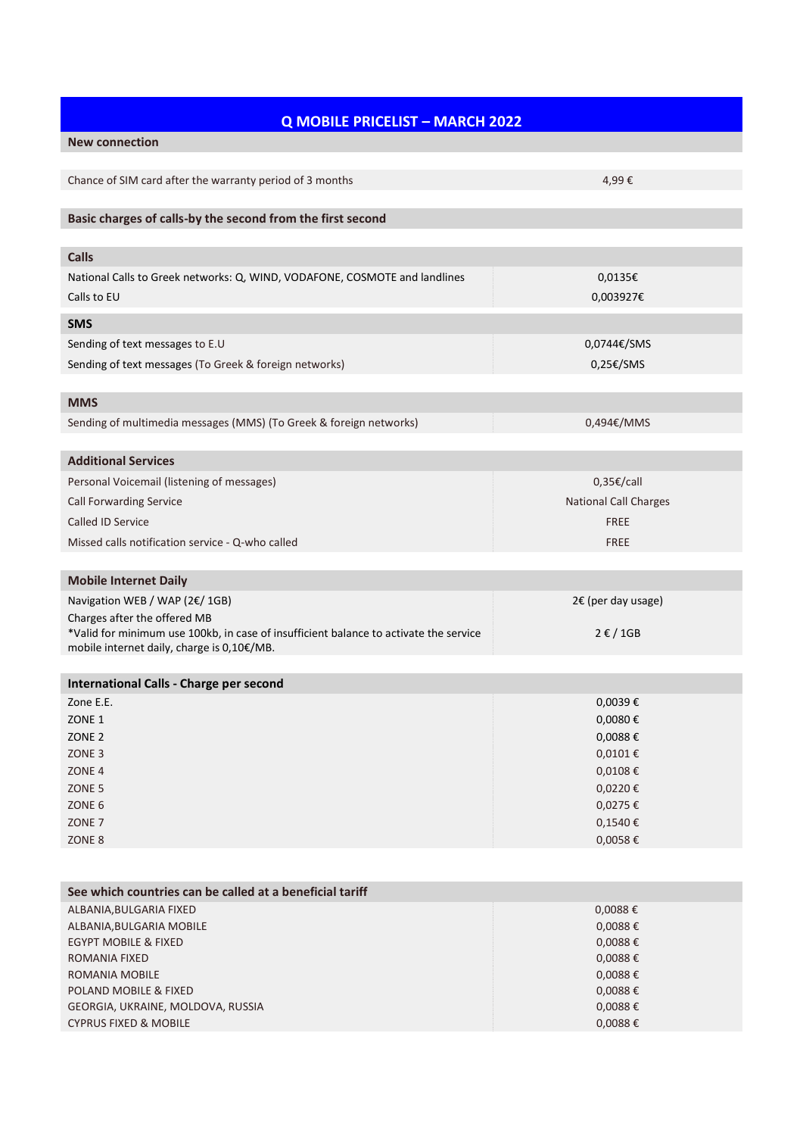# **Q MOBILE PRICELIST – MARCH 2022**

## **New connection**

| Chance of SIM card after the warranty period of 3 months | 4.99€ |
|----------------------------------------------------------|-------|
|----------------------------------------------------------|-------|

# **Basic charges of calls-by the second from the first second**

| <b>Calls</b>                                                                          |                              |
|---------------------------------------------------------------------------------------|------------------------------|
| National Calls to Greek networks: Q, WIND, VODAFONE, COSMOTE and landlines            | 0,0135€                      |
| Calls to EU                                                                           | 0,003927€                    |
| <b>SMS</b>                                                                            |                              |
| Sending of text messages to E.U                                                       | 0,0744€/SMS                  |
| Sending of text messages (To Greek & foreign networks)                                | 0,25€/SMS                    |
|                                                                                       |                              |
| <b>MMS</b>                                                                            |                              |
| Sending of multimedia messages (MMS) (To Greek & foreign networks)                    | 0,494€/MMS                   |
|                                                                                       |                              |
| <b>Additional Services</b>                                                            |                              |
| Personal Voicemail (listening of messages)                                            | 0,35€/call                   |
| <b>Call Forwarding Service</b>                                                        | <b>National Call Charges</b> |
| <b>Called ID Service</b>                                                              | <b>FREE</b>                  |
| Missed calls notification service - Q-who called                                      | <b>FREE</b>                  |
|                                                                                       |                              |
| <b>Mobile Internet Daily</b>                                                          |                              |
| Navigation WEB / WAP (2€/ 1GB)                                                        | 2€ (per day usage)           |
| Charges after the offered MB                                                          |                              |
| *Valid for minimum use 100kb, in case of insufficient balance to activate the service | $2 \epsilon / 1GB$           |
| mobile internet daily, charge is 0,10€/MB.                                            |                              |
| International Calls - Charge per second                                               |                              |
| Zone E.E.                                                                             | 0,0039€                      |
| ZONE <sub>1</sub>                                                                     | $0,0080 \in$                 |
| ZONE <sub>2</sub>                                                                     | $0,0088 \in$                 |
| ZONE <sub>3</sub>                                                                     | $0,0101 \in$                 |
| ZONE <sub>4</sub>                                                                     | $0,0108 \in$                 |
| ZONE <sub>5</sub>                                                                     | 0,0220€                      |
| ZONE <sub>6</sub>                                                                     | 0,0275€                      |
| ZONE <sub>7</sub>                                                                     | $0,1540 \in$                 |
| ZONE <sub>8</sub>                                                                     | $0,0058 \in$                 |
|                                                                                       |                              |
| See which countries can be called at a beneficial tariff                              |                              |
| ALBANIA, BULGARIA FIXED                                                               | 0,0088€                      |

| ALBANIA, BULGARIA FIXED           | $0,0088 \in$ |
|-----------------------------------|--------------|
| ALBANIA, BULGARIA MOBILE          | $0,0088 \in$ |
| <b>EGYPT MOBILE &amp; FIXED</b>   | $0,0088 \in$ |
| ROMANIA FIXED                     | $0,0088 \in$ |
| ROMANIA MOBILE                    | $0,0088 \in$ |
| POLAND MOBILE & FIXED             | $0,0088 \in$ |
| GEORGIA, UKRAINE, MOLDOVA, RUSSIA | $0.0088 \in$ |
| <b>CYPRUS FIXED &amp; MOBILE</b>  | $0.0088 \in$ |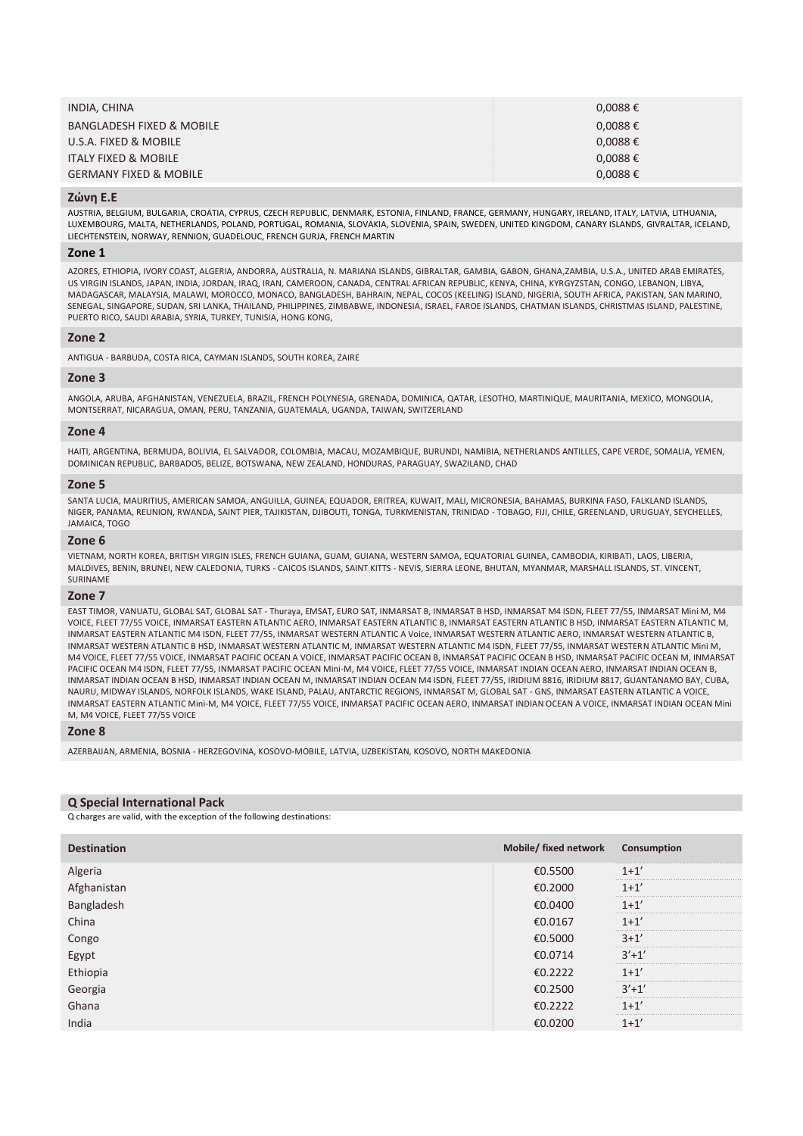| INDIA, CHINA                         | $0,0088 \in$ |
|--------------------------------------|--------------|
| <b>BANGLADESH FIXED &amp; MOBILE</b> | $0,0088 \in$ |
| U.S.A. FIXED & MOBILE                | $0,0088 \in$ |
| <b>ITALY FIXED &amp; MOBILE</b>      | $0,0088 \in$ |
| <b>GERMANY FIXED &amp; MOBILE</b>    | $0,0088 \in$ |

## **Ζώνη Ε.Ε**

AUSTRIA, BELGIUM, BULGARIA, CROATIA, CYPRUS, CZECH REPUBLIC, DENMARK, ESTONIA, FINLAND, FRANCE, GERMANY, HUNGARY, IRELAND, ITALY, LATVIA, LITHUANIA, LUXEMBOURG, MALTA, NETHERLANDS, POLAND, PORTUGAL, ROMANIA, SLOVAKIA, SLOVENIA, SPAIN, SWEDEN, UNITED KINGDOM, CANARY ISLANDS, GIVRALTAR, ICELAND, LIECHTENSTEIN, NORWAY, RENNION, GUADELOUC, FRENCH GURJA, FRENCH MARTIN

#### **Zone 1**

AZORES, ETHIOPIA, IVORY COAST, ALGERIA, ANDORRA, AUSTRALIA, N. MARIANA ISLANDS, GIBRALTAR, GAMBIA, GABON, GHANA,ZAMBIA, U.S.A., UNITED ARAB EMIRATES, US VIRGIN ISLANDS, JAPAN, INDIA, JORDAN, IRAQ, IRAN, CAMEROON, CANADA, CENTRAL AFRICAN REPUBLIC, KENYA, CHINA, KYRGYZSTAN, CONGO, LEBANON, LIBYA, MADAGASCAR, MALAYSIA, MALAWI, MOROCCO, MONACO, BANGLADESH, BAHRAIN, NEPAL, COCOS (KEELING) ISLAND, NIGERIA, SOUTH AFRICA, PAKISTAN, SAN MARINO, SENEGAL, SINGAPORE, SUDAN, SRI LANKA, THAILAND, PHILIPPINES, ZIMBABWE, INDONESIA, ISRAEL, FAROE ISLANDS, CHATMAN ISLANDS, CHRISTMAS ISLAND, PALESTINE, PUERTO RICO, SAUDI ARABIA, SYRIA, TURKEY, TUNISIA, HONG KONG,

#### **Zone 2**

ANTIGUA - BARBUDA, COSTA RICA, CAYMAN ISLANDS, SOUTH KOREA, ZAIRE

### **Zone 3**

ANGOLA, ARUBA, AFGHANISTAN, VENEZUELA, BRAZIL, FRENCH POLYNESIA, GRENADA, DOMINICA, QATAR, LESOTHO, MARTINIQUE, MAURITANIA, MEXICO, MONGOLIA, MONTSERRAT, NICARAGUA, OMAN, PERU, TANZANIA, GUATEMALA, UGANDA, TAIWAN, SWITZERLAND

#### **Zone 4**

HAITI, ARGENTINA, BERMUDA, BOLIVIA, EL SALVADOR, COLOMBIA, MACAU, MOZAMBIQUE, BURUNDI, NAMIBIA, NETHERLANDS ANTILLES, CAPE VERDE, SOMALIA, YEMEN, DOMINICAN REPUBLIC, BARBADOS, BELIZE, BOTSWANA, NEW ZEALAND, HONDURAS, PARAGUAY, SWAZILAND, CHAD

#### **Zone 5**

SANTA LUCIA, MAURITIUS, AMERICAN SAMOA, ANGUILLA, GUINEA, EQUADOR, ERITREA, KUWAIT, MALI, MICRONESIA, BAHAMAS, BURKINA FASO, FALKLAND ISLANDS, NIGER, PANAMA, REUNION, RWANDA, SAINT PIER, TAJIKISTAN, DJIBOUTI, TONGA, TURKMENISTAN, TRINIDAD - TOBAGO, FIJI, CHILE, GREENLAND, URUGUAY, SEYCHELLES, JAMAICA, TOGO

#### **Zone 6**

VIETNAM, NORTH KOREA, BRITISH VIRGIN ISLES, FRENCH GUIANA, GUAM, GUIANA, WESTERN SAMOA, EQUATORIAL GUINEA, CAMBODIA, KIRIBATI, LAOS, LIBERIA, MALDIVES, BENIN, BRUNEI, NEW CALEDONIA, TURKS - CAICOS ISLANDS, SAINT KITTS - NEVIS, SIERRA LEONE, BHUTAN, MYANMAR, MARSHALL ISLANDS, ST. VINCENT, SURINAME

## **Zone 7**

EAST TIMOR, VANUATU, GLOBAL SAT, GLOBAL SAT - Thuraya, EMSAT, EURO SAT, INMARSAT B, INMARSAT B HSD, INMARSAT M4 ISDN, FLEET 77/55, INMARSAT Mini M, M4 VOICE, FLEET 77/55 VOICE, INMARSAT EASTERN ATLANTIC AERO, INMARSAT EASTERN ATLANTIC B, INMARSAT EASTERN ATLANTIC B HSD, INMARSAT EASTERN ATLANTIC M, INMARSAT EASTERN ATLANTIC M4 ISDN, FLEET 77/55, INMARSAT WESTERN ATLANTIC A Voice, INMARSAT WESTERN ATLANTIC AERO, INMARSAT WESTERN ATLANTIC B, INMARSAT WESTERN ATLANTIC B HSD, INMARSAT WESTERN ATLANTIC M, INMARSAT WESTERN ATLANTIC M4 ISDN, FLEET 77/55, INMARSAT WESTERN ATLANTIC Mini M, M4 VOICE, FLEET 77/55 VOICE, INMARSAT PACIFIC OCEAN A VOICE, INMARSAT PACIFIC OCEAN B, INMARSAT PACIFIC OCEAN B HSD, INMARSAT PACIFIC OCEAN M, INMARSAT PACIFIC OCEAN M4 ISDN, FLEET 77/55, INMARSAT PACIFIC OCEAN Mini-M, M4 VOICE, FLEET 77/55 VOICE, INMARSAT INDIAN OCEAN AERO, INMARSAT INDIAN OCEAN B, INMARSAT INDIAN OCEAN B HSD, INMARSAT INDIAN OCEAN M, INMARSAT INDIAN OCEAN M4 ISDN, FLEET 77/55, IRIDIUM 8816, IRIDIUM 8817, GUANTANAMO BAY, CUBA, NAURU, MIDWAY ISLANDS, NORFOLK ISLANDS, WAKE ISLAND, PALAU, ANTARCTIC REGIONS, INMARSAT M, GLOBAL SAT - GNS, INMARSAT EASTERN ATLANTIC A VOICE, INMARSAT EASTERN ATLANTIC Mini-M, M4 VOICE, FLEET 77/55 VOICE, INMARSAT PACIFIC OCEAN AERO, INMARSAT INDIAN OCEAN A VOICE, INMARSAT INDIAN OCEAN Mini M, M4 VOICE, FLEET 77/55 VOICE

#### **Zone 8**

AZERBAIJAN, ARMENIA, BOSNIA - HERZEGOVINA, KOSOVO-MOBILE, LATVIA, UZBEKISTAN, KOSOVO, NORTH MAKEDONIA

#### **Q Special International Pack**

Q charges are valid, with the exception of the following destinations:

| <b>Destination</b> | Mobile/ fixed network | Consumption |
|--------------------|-----------------------|-------------|
| Algeria            | €0.5500               | $1+1'$      |
| Afghanistan        | €0.2000               | $1+1'$      |
| Bangladesh         | €0.0400               | $1+1'$      |
| China              | €0.0167               | $1+1'$      |
| Congo              | €0.5000               | $3+1'$      |
| Egypt              | €0.0714               | $3'+1'$     |
| Ethiopia           | €0.2222               | $1+1'$      |
| Georgia            | €0.2500               | $3'+1'$     |
| Ghana              | €0.2222               | $1+1'$      |
| India              | €0.0200               | $1+1'$      |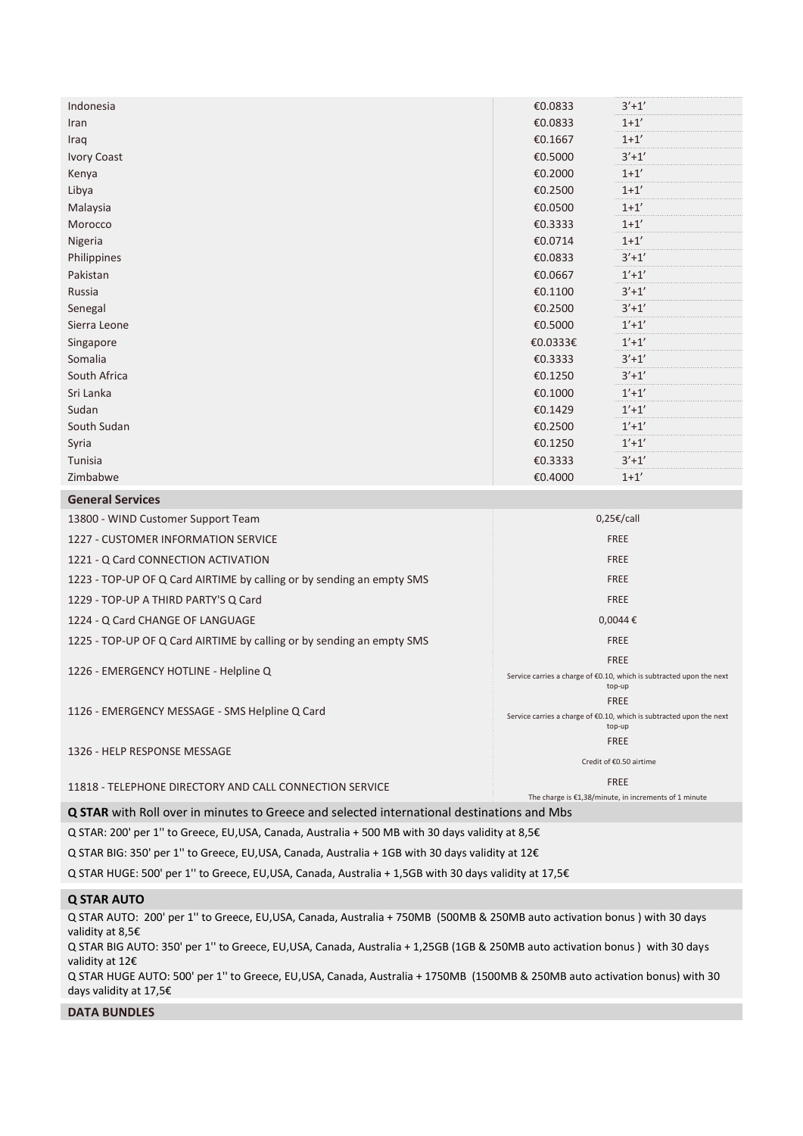| Indonesia    | €0.0833  | $3'+1'$ |
|--------------|----------|---------|
| Iran         | €0.0833  | $1+1'$  |
| Iraq         | €0.1667  | $1+1'$  |
| Ivory Coast  | €0.5000  | $3'+1'$ |
| Kenya        | €0.2000  | $1+1'$  |
| Libya        | €0.2500  | $1+1'$  |
| Malaysia     | €0.0500  | $1+1'$  |
| Morocco      | €0.3333  | $1+1'$  |
| Nigeria      | €0.0714  | $1+1'$  |
| Philippines  | €0.0833  | $3'+1'$ |
| Pakistan     | €0.0667  | $1'+1'$ |
| Russia       | €0.1100  | $3'+1'$ |
| Senegal      | €0.2500  | $3'+1'$ |
| Sierra Leone | €0.5000  | $1'+1'$ |
| Singapore    | €0.0333€ | $1'+1'$ |
| Somalia      | €0.3333  | $3'+1'$ |
| South Africa | €0.1250  | $3'+1'$ |
| Sri Lanka    | €0.1000  | $1'+1'$ |
| Sudan        | €0.1429  | $1'+1'$ |
| South Sudan  | €0.2500  | $1'+1'$ |
| Syria        | €0.1250  | $1'+1'$ |
| Tunisia      | €0.3333  | $3'+1'$ |
| Zimbabwe     | €0.4000  | $1+1'$  |

## **General Services**

| 13800 - WIND Customer Support Team                                    | 0,25€/call                                                                                    |
|-----------------------------------------------------------------------|-----------------------------------------------------------------------------------------------|
| 1227 - CUSTOMER INFORMATION SERVICE                                   | FREE                                                                                          |
| 1221 - Q Card CONNECTION ACTIVATION                                   | FREE                                                                                          |
| 1223 - TOP-UP OF Q Card AIRTIME by calling or by sending an empty SMS | <b>FREE</b>                                                                                   |
| 1229 - TOP-UP A THIRD PARTY'S Q Card                                  | <b>FREE</b>                                                                                   |
| 1224 - Q Card CHANGE OF LANGUAGE                                      | $0,0044 \in$                                                                                  |
| 1225 - TOP-UP OF Q Card AIRTIME by calling or by sending an empty SMS | <b>FREE</b>                                                                                   |
| 1226 - EMERGENCY HOTLINE - Helpline Q                                 | <b>FREE</b><br>Service carries a charge of €0.10, which is subtracted upon the next<br>top-up |
| 1126 - EMERGENCY MESSAGE - SMS Helpline Q Card                        | <b>FREE</b><br>Service carries a charge of €0.10, which is subtracted upon the next<br>top-up |
| 1326 - HELP RESPONSE MESSAGE                                          | FREE<br>Credit of €0.50 airtime                                                               |
| 11818 - TELEPHONE DIRECTORY AND CALL CONNECTION SERVICE               | <b>FREE</b>                                                                                   |
|                                                                       | The charge is $£1,38/minute$ , in increments of 1 minute                                      |

**Q STAR** with Roll over in minutes to Greece and selected international destinations and Mbs

Q STAR: 200' per 1'' to Greece, EU,USA, Canada, Australia + 500 MB with 30 days validity at 8,5€

Q STAR BIG: 350' per 1'' to Greece, EU,USA, Canada, Australia + 1GB with 30 days validity at 12€

Q STAR HUGE: 500' per 1'' to Greece, EU,USA, Canada, Australia + 1,5GB with 30 days validity at 17,5€

## **Q STAR AUTO**

Q STAR AUTO: 200' per 1'' to Greece, EU,USA, Canada, Australia + 750MB (500ΜΒ & 250MB auto activation bonus ) with 30 days validity at 8,5€

Q STAR BIG AUTO: 350' per 1'' to Greece, EU,USA, Canada, Australia + 1,25GB (1GB & 250MB auto activation bonus ) with 30 days validity at 12€

Q STAR HUGE AUTO: 500' per 1'' to Greece, EU,USA, Canada, Australia + 1750MB (1500ΜΒ & 250MB auto activation bonus) with 30 days validity at 17,5€

## **DATA BUNDLES**